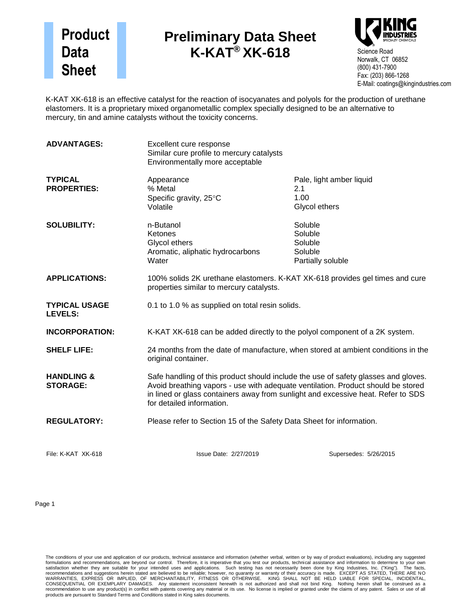## **Product Data Sheet**

## **Preliminary Data Sheet K-KAT® XK-618**



K-KAT XK-618 is an effective catalyst for the reaction of isocyanates and polyols for the production of urethane elastomers. It is a proprietary mixed organometallic complex specially designed to be an alternative to mercury, tin and amine catalysts without the toxicity concerns.

| <b>ADVANTAGES:</b>                       | Excellent cure response<br>Similar cure profile to mercury catalysts<br>Environmentally more acceptable                                                                                                                                                                                 |                                                               |
|------------------------------------------|-----------------------------------------------------------------------------------------------------------------------------------------------------------------------------------------------------------------------------------------------------------------------------------------|---------------------------------------------------------------|
| <b>TYPICAL</b><br><b>PROPERTIES:</b>     | Appearance<br>% Metal<br>Specific gravity, 25°C<br>Volatile                                                                                                                                                                                                                             | Pale, light amber liquid<br>2.1<br>1.00<br>Glycol ethers      |
| <b>SOLUBILITY:</b>                       | n-Butanol<br>Ketones<br>Glycol ethers<br>Aromatic, aliphatic hydrocarbons<br>Water                                                                                                                                                                                                      | Soluble<br>Soluble<br>Soluble<br>Soluble<br>Partially soluble |
| <b>APPLICATIONS:</b>                     | 100% solids 2K urethane elastomers. K-KAT XK-618 provides gel times and cure<br>properties similar to mercury catalysts.                                                                                                                                                                |                                                               |
| <b>TYPICAL USAGE</b><br><b>LEVELS:</b>   | 0.1 to 1.0 % as supplied on total resin solids.                                                                                                                                                                                                                                         |                                                               |
| <b>INCORPORATION:</b>                    | K-KAT XK-618 can be added directly to the polyol component of a 2K system.                                                                                                                                                                                                              |                                                               |
| <b>SHELF LIFE:</b>                       | 24 months from the date of manufacture, when stored at ambient conditions in the<br>original container.                                                                                                                                                                                 |                                                               |
| <b>HANDLING &amp;</b><br><b>STORAGE:</b> | Safe handling of this product should include the use of safety glasses and gloves.<br>Avoid breathing vapors - use with adequate ventilation. Product should be stored<br>in lined or glass containers away from sunlight and excessive heat. Refer to SDS<br>for detailed information. |                                                               |
| <b>REGULATORY:</b>                       | Please refer to Section 15 of the Safety Data Sheet for information.                                                                                                                                                                                                                    |                                                               |
| File: K-KAT XK-618                       | Issue Date: 2/27/2019                                                                                                                                                                                                                                                                   | Supersedes: 5/26/2015                                         |

Page 1